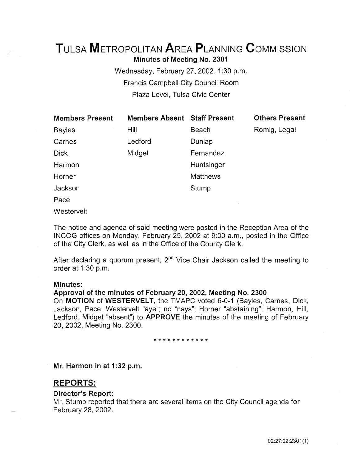# TuLsA METROPOLITAN AREA PLANNING CoMMISSION Minutes of Meeting No. 2301

Wednesday, February 27,2002, 1:30 p.m. Francis Campbell City Council Room Plaza Level, Tulsa Civic Center

| <b>Members Present</b> | <b>Members Absent Staff Present</b> |                 | <b>Others Present</b> |
|------------------------|-------------------------------------|-----------------|-----------------------|
| <b>Bayles</b>          | Hill                                | Beach           | Romig, Legal          |
| Carnes                 | Ledford                             | Dunlap          |                       |
| <b>Dick</b>            | Midget                              | Fernandez       |                       |
| Harmon                 |                                     | Huntsinger      |                       |
| Horner                 |                                     | <b>Matthews</b> |                       |
| Jackson                |                                     | Stump           |                       |
| Pace                   |                                     |                 |                       |

**Westervelt** 

The notice and agenda of said meeting were posted in the Reception Area of the INCOG offices on Monday, February 25, 2002 at 9:00 a.m., posted in the Office of the City Clerk, as well as in the Office of the County Clerk.

After declaring a quorum present,  $2<sup>nd</sup>$  Vice Chair Jackson called the meeting to order at 1:30 p.m.

# Minutes:

# Approval of the minutes of February 20, 2002, Meeting No. 2300

On MOTION of WESTERVELT, the TMAPC voted 6-0-1 (Bayles, Carnes, Dick, Jackson, Pace, Westervelt "aye"; no "nays"; Horner "abstaining"; Harmon, Hill, Ledford, Midget "absent") to APPROVE the minutes of the meeting of February 20, 2002, Meeting No. 2300.

# \* \* \* \* \* \* \* \* \* \* \* \*

Mr. Harmon in at 1:32 p.m.

# REPORTS:

# Director's Report:

Mr. Stump reported that there are several items on the City Council agenda for February 28, 2002.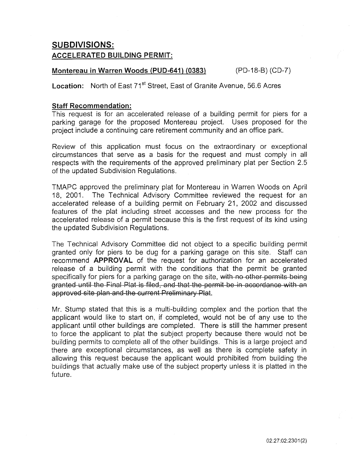# SUBDIVISIONS: ACCELERATED BUILDING PERMIT:

# Montereau in Warren Woods (PUD-641) (0383) (PD-18-B) (CD-7)

Location: North of East 71<sup>st</sup> Street, East of Granite Avenue, 56.6 Acres

# Staff Recommendation:

This request is for an accelerated release of a building permit for piers for a parking garage for the proposed Montereau project. Uses proposed for the project include a continuing care retirement community and an office park.

Review of this application must focus on the extraordinary or exceptional circumstances that serve as a basis for the request and must comply in all respects with the requirements of the approved preliminary plat per Section 2.5 of the updated Subdivision Regulations.

TMAPC approved the preliminary plat for Montereau in Warren Woods on April 18, 2001. The Technical Advisory Committee reviewed the request for an accelerated release of a building permit on February 21, 2002 and discussed features of the plat including street accesses and the new process for the accelerated release of a permit because this is the first request of its kind using the updated Subdivision Regulations.

The Technical Advisory Committee did not object to a specific building permit granted only for piers to be dug for a parking garage on this site. Staff can recommend APPROVAL of the request for authorization for an accelerated release of a building permit with the conditions that the permit be granted specifically for piers for a parking garage on the site, with no other permits being granted until the Final Plat is filed, and that the permit be in accordance with an approved site plan and the current Preliminary Plat.

Mr. Stump stated that this is a multi-building complex and the portion that the applicant would like to start on, if completed, would not be of any use to the applicant until other buildings are completed. There is still the hammer present to force the applicant to plat the subject property because there would not be building permits to complete all of the other buildings. This is a large project and there are exceptional circumstances, as well as there is complete safety in allowing this request because the applicant would prohibited from building the buildings that actually make use of the subject property unless it is platted in the future.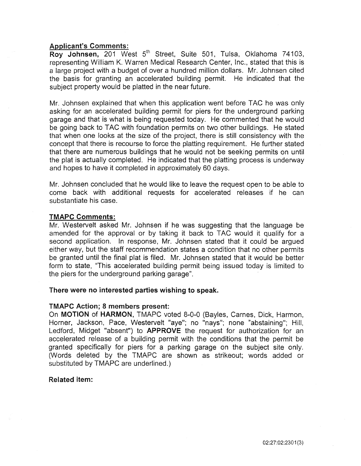# Applicant's Comments:

Roy Johnsen, 201 West 5<sup>th</sup> Street, Suite 501, Tulsa, Oklahoma 74103, representing William K. Warren Medical Research Center, Inc., stated that this is a large project with a budget of over a hundred million dollars. Mr. Johnsen cited the basis for granting an accelerated building permit. He indicated that the subject property would be platted in the near future.

Mr. Johnsen explained that when this application went before TAC he was only asking for an accelerated building permit for piers for the underground parking garage and that is what is being requested today. He commented that he would be going back to TAC with foundation permits on two other buildings. He stated that when one looks at the size of the project, there is still consistency with the concept that there is recourse to force the platting requirement. He further stated that there are numerous buildings that he would not be seeking permits on until the plat is actually completed. He indicated that the platting process is underway and hopes to have it completed in approximately 60 days.

Mr. Johnsen concluded that he would like to leave the request open to be able to come back with additional requests for accelerated releases if he can substantiate his case.

# TMAPC Comments:

Mr. Westervelt asked Mr. Johnsen if he was suggesting that the language be amended for the approval or by taking it back to TAC would it qualify for a second application. In response, Mr. Johnsen stated that it could be argued either way, but the staff recommendation states a condition that no other permits be granted until the final plat is filed. Mr. Johnsen stated that it would be better form to state, "This accelerated building permit being issued today is limited to the piers for the underground parking garage".

# There were no interested parties wishing to speak.

# TMAPC Action; 8 members present:

On MOTION of HARMON, TMAPC voted 8-0-0 (Bayles, Carnes, Dick, Harmon, Horner, Jackson, Pace, Westervelt "aye"; no "nays"; none "abstaining"; Hill, Ledford, Midget "absent") to APPROVE the request for authorization for an accelerated release of a building permit with the conditions that the permit be granted specifically for piers for a parking garage on the subject site only. (Words deleted by the TMAPC are shown as strikeout; words added or substituted by TMAPC are underlined.)

# Related item: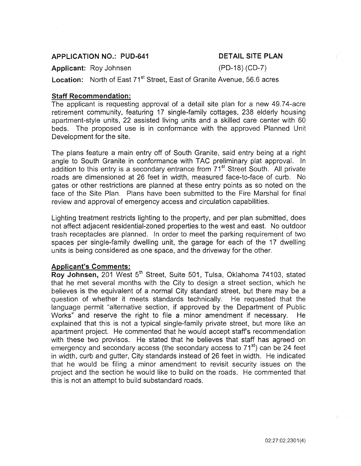# APPLICATION NO.: PUD-641

# DETAIL SITE PLAN

Applicant: Roy Johnsen

(PD-18) (CD-7)

Location: North of East 71<sup>st</sup> Street, East of Granite Avenue, 56.6 acres

# Staff Recommendation:

The applicant is requesting approval of a detail site plan for a new 49.74-acre retirement community, featuring 17 single-family cottages, 238 elderly housing apartment-style units, 22 assisted living units and a skilled care center with 60 beds. The proposed use is in conformance with the approved Planned Unit Development for the site.

The plans feature a main entry off of South Granite, said entry being at a right angle to South Granite in conformance with TAC preliminary plat approval. In addition to this entry is a secondary entrance from 71<sup>st</sup> Street South. All private roads are dimensioned at 26 feet in width, measured face-to-face of curb. No gates or other restrictions are planned at these entry points as so noted on the face of the Site Plan. Plans have been submitted to the Fire Marshal for final review and approval of emergency access and circulation capabilities.

Lighting treatment restricts lighting to the property, and per plan submitted, does not affect adjacent residential-zoned properties to the west and east. No outdoor trash receptacles are planned. In order to meet the parking requirement of two spaces per single-family dwelling unit, the garage for each of the 17 dwelling units is being considered as one space, and the driveway for the other.

# Applicant's Comments:

Roy Johnsen, 201 West 5<sup>th</sup> Street, Suite 501, Tulsa, Oklahoma 74103, stated that he met several months with the City to design a street section, which he believes is the equivalent of a normal City standard street, but there may be a question of whether it meets standards technically. He requested that the language permit "alternative section, if approved by the Department of Public Works" and reserve the right to file a minor amendment if necessary. He explained that this is not a typical single-family private street, but more like an apartment project. He commented that he would accept staff's recommendation with these two provisos. He stated that he believes that staff has agreed on emergency and secondary access (the secondary access to  $71<sup>st</sup>$ ) can be 24 feet in width, curb and gutter, City standards instead of 26 feet in width. He indicated that he would be filing a minor amendment to revisit security issues on the project and the section he would like to build on the roads. He commented that this is not an attempt to build substandard roads.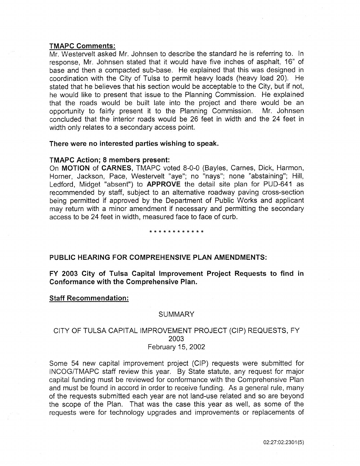# TMAPC Comments:

Mr. Westervelt asked Mr. Johnsen to describe the standard he is referring to. In response, Mr. Johnsen stated that it would have five inches of asphalt, 16" of base and then a compacted sub-base. He explained that this was designed in coordination with the City of Tulsa to permit heavy loads (heavy load 20). He stated that he believes that his section would be acceptable to the City, but if not, he would like to present that issue to the Planning Commission. He explained that the roads would be built late into the project and there would be an opportunity to fairly present it to the Planning Commission. Mr. Johnsen concluded that the interior roads would be 26 feet in width and the 24 feet in width only relates to a secondary access point.

# There were no interested parties wishing to speak.

# TMAPC Action; 8 members present:

On MOTION of CARNES, TMAPC voted 8-0-0 (Bayles, Carnes, Dick, Harmon, Horner, Jackson, Pace, Westervelt "aye"; no "nays"; none "abstaining"; Hill, Ledford, Midget "absent") to APPROVE the detail site plan for PUD-641 as recommended by staff, subject to an alternative roadway paving cross-section being permitted if approved by the Department of Public Works and applicant may return with a minor amendment if necessary and permitting the secondary access to be 24 feet in width, measured face to face of curb.

# \* \* \* \* \* \* \* \* \* \* \* \*

# PUBLIC HEARING FOR COMPREHENSIVE PLAN AMENDMENTS:

FY 2003 City of Tulsa Capital Improvement Project Requests to find in Conformance with the Comprehensive Plan.

Staff Recommendation:

# **SUMMARY**

# CITY OF TULSA CAPITAL IMPROVEMENT PROJECT (CIP) REQUESTS, FY 2003 February 15, 2002

Some 54 new capital improvement project (CIP) requests were submitted for INCOG/TMAPC staff review this year. By State statute, any request for major capital funding must be reviewed for conformance with the Comprehensive Plan and must be found in accord in order to receive funding. As a general rule, many of the requests submitted each year are not land-use related and so are beyond the scope of the Plan. That was the case this year as well, as some of the requests were for technology upgrades and improvements or replacements of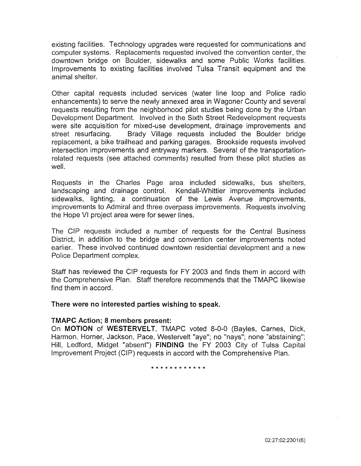existing facilities. Technology upgrades were requested for communications and computer systems. Replacements requested involved the convention center, the downtown bridge on Boulder, sidewalks and some Public Works facilities. Improvements to existing facilities involved Tulsa Transit equipment and the animal shelter.

Other capital requests included services (water line loop and Police radio enhancements) to serve the newly annexed area in Wagoner County and several requests resulting from the neighborhood pilot studies being done by the Urban Development Department. Involved in the Sixth Street Redevelopment requests were site acquisition for mixed-use development, drainage improvements and<br>street resurfacing. Brady Village requests included the Boulder bridge Brady Village requests included the Boulder bridge replacement, a bike trailhead and parking garages. Brookside requests involved intersection improvements and entryway markers. Several of the transportationrelated requests (see attached comments) resulted from these pilot studies as well.

Requests in the Charles Page area included sidewalks, bus shelters, landscaping and drainage control. Kendall-Whittier improvements included sidewalks, lighting, a continuation of the Lewis Avenue improvements, improvements to Admiral and three overpass improvements. Requests involving the Hope VI project area were for sewer lines.

The CIP requests included a number of requests for the Central Business District, in addition to the bridge and convention center improvements noted earlier. These involved continued downtown residential development and a new Police Department complex.

Staff has reviewed the CIP requests for FY 2003 and finds them in accord with the Comprehensive Plan. Staff therefore recommends that the TMAPC likewise find them in accord.

There were no interested parties wishing to speak.

# TMAPC Action; 8 members present:

On MOTION of WESTERVELT, TMAPC voted 8-0-0 (Bayles, Carnes, Dick, Harmon, Horner, Jackson, Pace, Westervelt "aye"; no "nays"; none "abstaining"; Hill, Ledford, Midget "absent") FINDING the FY 2003 City of Tulsa Capital Improvement Project (CIP) requests in accord with the Comprehensive Plan.

\* \* \* \* \* \* \* \* \* \* \* \*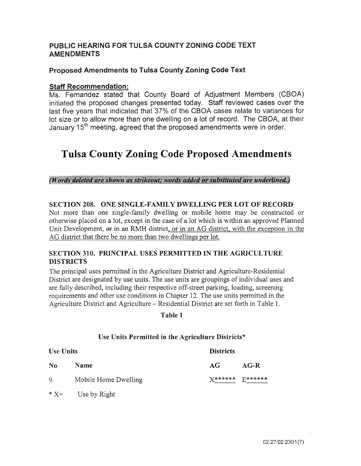# PUBLIC HEARING FOR TULSA COUNTY ZONING CODE TEXT **AMENDMENTS**

# Proposed Amendments to Tulsa County Zoning Code Text

# Staff Recommendation:

Ms. Fernandez stated that County Board of Adjustment Members (CBOA) initiated the proposed changes presented today. Staff reviewed cases over the last five years that indicated that 37% of the CBOA cases relate to variances for lot size or to allow more than one dwelling on a lot of record. The CBOA, at their January 15<sup>th</sup> meeting, agreed that the proposed amendments were in order.

# Tulsa County Zoning Code Proposed Amendments

# (Words deleted are shown as strikeout; words added or substituted are underlined.)

# SECTION 208. ONE SINGLE-FAMILY DWELLING PER LOT OF RECORD

Not more than one single-family dwelling or mobile home may be constructed or otherwise placed on a lot, except in the case of a lot which is within an approved Planned Unit Development,  $\Theta$  in an RMH district, or in an AG district, with the exception in the AG district that there be no more than two dwellings per lot.

# SECTION 310. PRINCIPAL USES PERMITTED IN THE AGRICULTURE DISTRICTS

The principal uses permitted in the Agriculture District and Agriculture-Residential District are designated by use units. The use units are groupings of individual uses and are fully described, including their respective off-street parking, loading, screening requirements and other use conditions in Chapter 12. The use units permitted in the Agriculture District and Agriculture- Residential District are set forth in Table 1.

# Table 1

# Use Units Permitted in the Agriculture Districts\*

| <b>Use Units</b> |                      | <b>Districts</b>       |        |  |
|------------------|----------------------|------------------------|--------|--|
| N <sub>0</sub>   | Name                 | AG                     | $AG-R$ |  |
| 9.               | Mobile Home Dwelling | <b>X****** D******</b> |        |  |

 $*X=$  Use by Right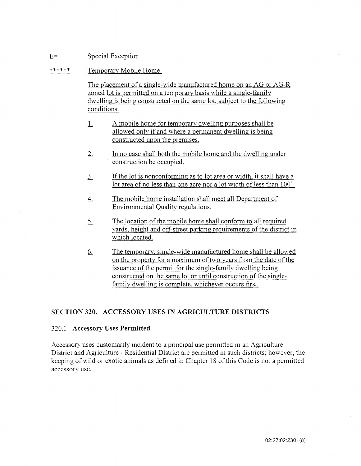#### $E=$ Special Exception

#### \*\*\*\*\*\* Temporary Mobile Home:

The placement of a single-wide manufactured home on an AG or AG-R zoned lot is permitted on a temporary basis while a single-family dwelling is being constructed on the same lot, subject to the following conditions:

- 1. A mobile home for temporary dwelling purposes shall be allowed only if and where a permanent dwelling is being constructed upon the premises.
- 2. In no case shall both the mobile home and the dwelling under construction be occupied.
- 3. If the lot is nonconforming as to lot area or width, it shall have a lot area of no less than one acre nor a lot width of less than 100'.
- 4. The mobile home installation shall meet all Department of Environmental Quality regulations.
- 5. The location of the mobile home shall conform to all required yards, height and off-street parking requirements of the district in which located.
- 6. The temporary, single-wide manufactured home shall be allowed on the property for a maximum of two years from the date of the issuance of the permit for the single-family dwelling being constructed on the same lot or until construction of the singlefamily dwelling is complete, whichever occurs first.

# SECTION 320. ACCESSORY USES IN AGRICULTURE DISTRICTS

# 320.1 Accessory Uses Permitted

Accessory uses customarily incident to a principal use permitted in an Agriculture District and Agriculture- Residential District are permitted in such districts; however, the keeping of wild or exotic animals as defined in Chapter 18 of this Code is not a permitted accessory use.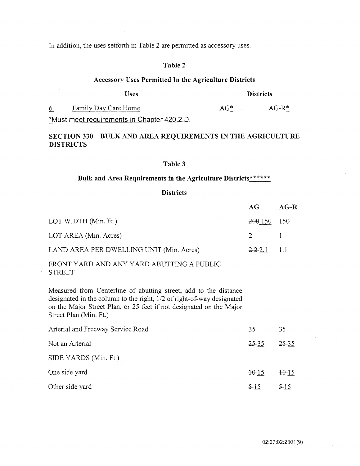In addition, the uses setforth in Table 2 are permitted as accessory uses.

# Table 2

# Accessory Uses Permitted In the Agriculture Districts

# Uses Districts

6. Family Day Care Home **AG**\*  $AG-R*$ \*Must meet requirements in Chapter 420.2.0.

# SECTION 330. BULK AND AREA REQUIREMENTS IN THE AGRICULTURE DISTRICTS

# Table 3

# Bulk and Area Requirements in the Agriculture Districts\*\*\*\*\*\*\*

# **Districts**

|                                          | AG              | $AG-R$   |
|------------------------------------------|-----------------|----------|
| LOT WIDTH (Min. Ft.)                     | 200 150 150     |          |
| LOT AREA (Min. Acres)                    | $\overline{2}$  | $\sim$ 1 |
| LAND AREA PER DWELLING UNIT (Min. Acres) | $2.2 - 2.1$ 1.1 |          |

FRONT YARD AND ANY YARD ABUTTING A PUBLIC **STREET** 

Measured from Centerline of abutting street, add to the distance designated in the column to the right, 1/2 of right-of-way designated on the Major Street Plan, or 25 feet if not designated on the Major Street Plan (Min. Ft.)

| Arterial and Freeway Service Road | 35        | 35        |
|-----------------------------------|-----------|-----------|
| Not an Arterial                   | $25 - 35$ | $25 - 35$ |
| SIDE YARDS (Min. Ft.)             |           |           |
| One side yard                     | $+0.15$   | $+0.15$   |
| Other side yard                   | $5 - 15$  | $5-15$    |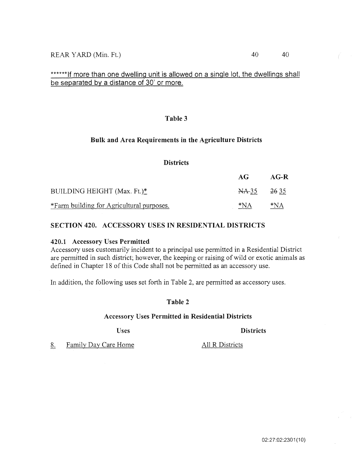# \*\*\*\*\*\*If more than one dwelling unit is allowed on a single lot, the dwellings shall be separated by a distance of 30' or more.

# Table 3

# Bulk and Area Requirements in the Agriculture Districts

# **Districts**

|                                           | AG               | AG-R  |
|-------------------------------------------|------------------|-------|
| BUILDING HEIGHT (Max. Ft.)*               | <del>NA 35</del> | 2635  |
| *Farm building for Agricultural purposes. | *NA              | $*NA$ |

# SECTION 420. ACCESSORY USES IN RESIDENTIAL DISTRICTS

# 420.1 Accessory Uses Permitted

Accessory uses customarily incident to a principal use permitted in a Residential District are permitted in such district; however, the keeping or raising of wild or exotic animals as defined in Chapter 18 of this Code shall not be permitted as an accessory use.

In addition, the following uses set forth in Table 2, are permitted as accessory uses.

# Table 2

# Accessory Uses Permitted in Residential Districts

Uses Districts

8. Family Day Care Home All R Districts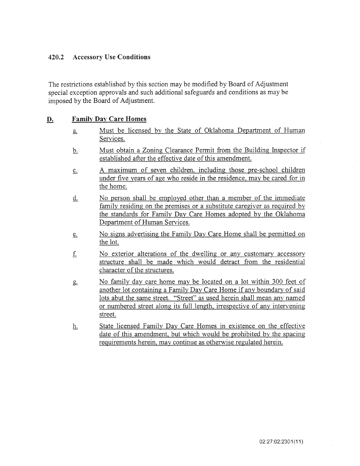# **420.2** Accessory **Use Conditions**

The restrictions established by this section may be modified by Board of Adjustment special exception approvals and such additional safeguards and conditions as may be imposed by the Board of Adjustment.

# **D. Family Day Care Homes**

- a. Must be licensed by the State of Oklahoma Department of Human Services.
- b. Must obtain a Zoning Clearance Permit from the Building Inspector if established after the effective date of this amendment.
- c. A maximum of seven children, including those pre-school children under five years of age who reside in the residence, may be cared for in the home.
- d. No person shall be employed other than a member of the immediate family residing on the premises or a substitute caregiver as required by the standards for Family Day Care Homes adopted by the Oklahoma Department of Human Services.
- e. No signs advertising the Family Day Care Home shall be permitted on the lot.
- f. No exterior alterations of the dwelling or any customary accessory structure shall be made which would detract from the residential character of the structures.
- &. No family day care home may be located on a lot within 300 feet of another lot containing a Family Day Care Home if any boundary of said lots abut the same street. "Street" as used herein shall mean any named or numbered street along its full length, irrespective of any intervening street.
- h. State licensed Family Day Care Homes in existence on the effective date of this amendment, but which would be prohibited by the spacing requirements herein, may continue as otherwise regulated herein.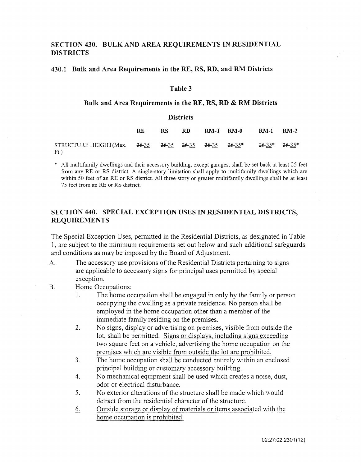# SECTION 430. BULK AND AREA REQUIREMENTS IN RESIDENTIAL DISTRICTS

# 430.1 Bulk and Area Requirements in the RE, RS, RD, and RM Districts

# Table 3

# **Bulk** and Area Requirements in theRE, RS, **RD** & RM Districts

# **Districts**

|                                                                                 | RE. | RS. | RD. | $RM-T$ $RM-0$ | <b>RM-1 RM-2</b> |  |
|---------------------------------------------------------------------------------|-----|-----|-----|---------------|------------------|--|
| STRUCTURE HEIGHT(Max. 26-35 26-35 26-35 26-35 26-35* 26-35* 26-35*<br>$F_{t}$ ) |     |     |     |               |                  |  |

\* All multifamily dwellings and their accessory building, except garages, shall be set back at least 25 feet from any RE or RS district. A single-story limitation shall apply to multifamily dwellings which are within 50 feet of an RE or RS district. All three-story or greater multifamily dwellings shall be at least 75 feet from an RE or RS district.

# SECTION 440. SPECIAL EXCEPTION USES IN RESIDENTIAL DISTRICTS, REQUIREMENTS

The Special Exception Uses, permitted in the Residential Districts, as designated in Table 1, are subject to the minimum requirements set out below and such additional safeguards and conditions as may be imposed by the Board of Adjustment.

- A. The accessory use provisions of the Residential Districts pertaining to signs are applicable to accessory signs for principal uses permitted by special exception.
- B. Home Occupations:
	- 1. The home occupation shall be engaged in only by the family or person occupying the dwelling as a private residence. No person shall be employed in the home occupation other than a member of the immediate family residing on the premises.
	- 2. No signs, display or advertising on premises, visible from outside the lot, shall be permitted. Signs or displays, including signs exceeding two square feet on a vehicle, advertising the home occupation on the premises which are visible from outside the lot are prohibited.
	- 3. The home occupation shall be conducted entirely within an enclosed principal building or customary accessory building.
	- 4. No mechanical equipment shall be used which creates a noise, dust, odor or electrical disturbance.
	- 5. No exterior alterations of the structure shall be made which would detract from the residential character of the structure.
	- 6. Outside storage or display of materials or items associated with the home occupation is prohibited.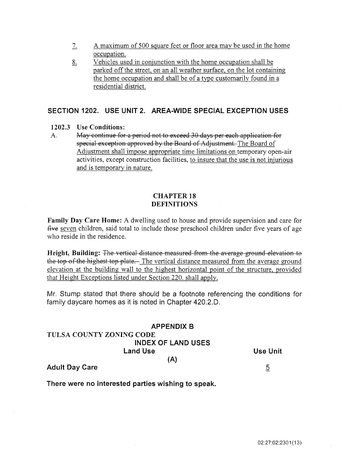- 1. A maximum of 500 square feet or floor area may be used in the home occupation.
- 8. Vehicles used in conjunction with the home occupation shall be parked off the street, on an all weather surface, on the lot containing the home occupation and shall be of a type customarily found in a residential district.

# SECTION 1202. USE UNIT 2. AREA-WIDE SPECIAL EXCEPTION USES

# 1202.3 Use Conditions:

A. May continue for a period not to exceed 30 days per each application for special exception approved by the Board of Adjustment. The Board of Adjustment shall impose appropriate time limitations on temporary open-air activities, except construction facilities, to insure that the use is not injurious and is temporary in nature.

# CHAPTER 18 DEFINITIONS

Family Day Care Home: A dwelling used to house and provide supervision and care for five seven children, said total to include those preschool children under five years of age who reside in the residence.

Height, Building: The vertical distance measured from the average ground elevation to the top of the highest top plate. The vertical distance measured from the average ground elevation at the building wall to the highest horizontal point of the structure, provided that Height Exceptions listed under Section 220. shall apply.

Mr. Stump stated that there should be a footnote referencing the conditions for family daycare homes as it is noted in Chapter 420.2.0.

# APPENDIX B TULSA COUNTY ZONING CODE INDEX OF LAND USES Land Use (A)

Adult Day Care

There were no interested parties wishing to speak.

Use Unit

5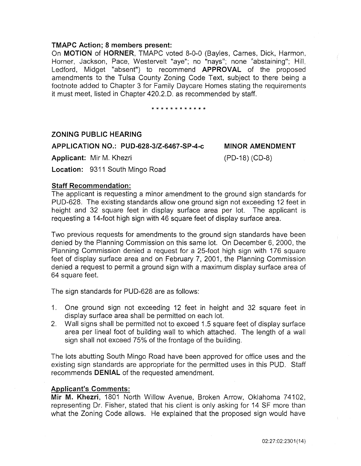# TMAPC Action; 8 members present:

On MOTION of HORNER, TMAPC voted 8-0-0 (Bayles, Carnes, Dick, Harmon, Horner, Jackson, Pace, Westervelt "aye"; no "nays"; none "abstaining"; Hill, Ledford, Midget "absent") to recommend APPROVAL of the proposed amendments to the Tulsa County Zoning Code Text, subject to there being a footnote added to Chapter 3 for Family Daycare Homes stating the requirements it must meet, listed in Chapter 420.2.0. as recommended by staff.

\* \* \* \* \* \* \* \* \* \* \* \*

# ZONING PUBLIC HEARING

# APPLICATION NO.: PUD-628-3/Z-6467-SP-4-c

Applicant: Mir M. Khezri

MINOR AMENDMENT

(PD-18) (CD-8)

Location: 9311 South Mingo Road

# Staff Recommendation:

The applicant is requesting a minor amendment to the ground sign standards for PUD-628. The existing standards allow one ground sign not exceeding 12 feet in height and 32 square feet in display surface area per lot. The applicant is requesting a 14-foot high sign with 46 square feet of display surface area.

Two previous requests for amendments to the ground sign standards have been denied by the Planning Commission on this same lot. On December 6, 2000, the Planning Commission denied a request for a 25-foot high sign with 176 square feet of display surface area and on February 7, 2001, the Planning Commission denied a request to permit a ground sign with a maximum display surface area of 64 square feet.

The sign standards for PUD-628 are as follows:

- 1. One ground sign not exceeding 12 feet in height and 32 square feet in display surface area shall be permitted on each lot.
- 2. Wall signs shall be permitted not to exceed 1.5 square feet of display surface area per lineal foot of building wall to which attached. The length of a wall sign shall not exceed 75% of the frontage of the building.

The lots abutting South Mingo Road have been approved for office uses and the existing sign standards are appropriate for the permitted uses in this PUD. Staff recommends **DENIAL** of the requested amendment.

# Applicant's Comments:

Mir M. Khezri, 1801 North Willow Avenue, Broken Arrow, Oklahoma 74102, representing Dr. Fisher, stated that his client is only asking for 14 SF more than what the Zoning Code allows. He explained that the proposed sign would have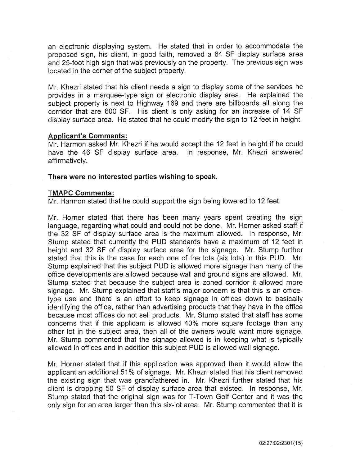an electronic displaying system. He stated that in order to accommodate the proposed sign, his client, in good faith, removed a 64 SF display surface area and 25-foot high sign that was previously on the property. The previous sign was located in the corner of the subject property.

Mr. Khezri stated that his client needs a sign to display some of the services he provides in a marquee-type sign or electronic display area. He explained the subject property is next to Highway 169 and there are billboards all along the corridor that are 600 SF. His client is only asking for an increase of 14 SF display surface area. He stated that he could modify the sign *to* 12 feet in height.

# **Applicant's Comments:**

Mr. Harmon asked Mr. Khezri if he would accept the 12 feet in height if he could have the 46 SF display surface area. In response, Mr. Khezri answered affirmatively.

# **There were no interested parties wishing to speak.**

# **TMAPC Comments:**

Mr. Harmon stated that he could support the sign being lowered to 12 feet.

Mr. Horner stated that there has been many years spent creating the sign language, regarding what could and could not be done. Mr. Horner asked staff if the 32 SF of display surface area is the maximum allowed. In response, Mr. Stump stated that currently the PUD standards have a maximum of 12 feet in height and 32 SF of display surface area for the signage. Mr. Stump further stated that this is the case for each one of the lots (six lots) in this PUD. Mr. Stump explained that the subject PUD is allowed more signage than many of the office developments are allowed because wall and ground signs are allowed. Mr. Stump stated that because the subject area is zoned corridor it allowed more signage. Mr. Stump explained that staff's major concern is that this is an officetype use and there is an effort to keep signage in offices down to basically identifying the office, rather than advertising products that they have in the office because most offices do not sell products. Mr. Stump stated that staff has some concerns that if this applicant is allowed 40% more square footage than any other lot in the subject area, then all of the owners would want more signage. Mr. Stump commented that the signage allowed is in keeping what is typically allowed in offices and in addition this subject PUD is allowed wall signage.

Mr. Horner stated that if this application was approved then it would allow the applicant an additional 51% of signage. Mr. Khezri stated that his client removed the existing sign that was grandfathered in. Mr. Khezri further stated that his client is dropping 50 SF of display surface area that existed. In response, Mr. Stump stated that the original sign was for T-Town Golf Center and it was the only sign for an area larger than this six-lot area. Mr. Stump commented that it is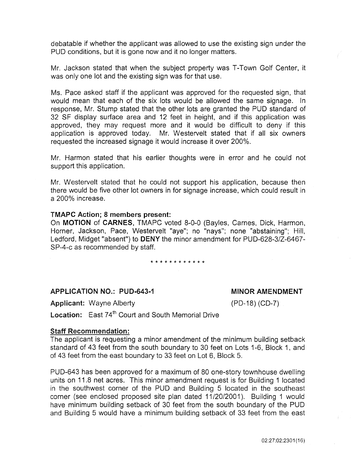debatable if whether the applicant was allowed to use the existing sign under the PUD conditions, but it is gone now and it no longer matters.

Mr. Jackson stated that when the subject property was T-Town Golf Center, it was only one lot and the existing sign was for that use.

Ms. Pace asked staff if the applicant was approved for the requested sign, that would mean that each of the six lots would be allowed the same signage. In response, Mr. Stump stated that the other lots are granted the PUD standard of 32 SF display surface area and 12 feet in height, and if this application was approved, they may request more and it would be difficult to deny if this application is approved today. Mr. Westervelt stated that if all six owners requested the increased signage it would increase it over 200%.

Mr. Harmon stated that his earlier thoughts were in error and he could not support this application.

Mr. Westervelt stated that he could not support his application, because then there would be five other lot owners in for signage increase, which could result in a 200% increase.

# TMAPC Action; 8 members present:

On MOTION of CARNES, TMAPC voted 8-0-0 (Bayles, Carnes, Dick, Harmon, Horner, Jackson, Pace, Westervelt "aye"; no "nays"; none "abstaining"; Hill, Ledford, Midget "absent") to DENY the minor amendment for PUD-628-3/Z-6467- SP-4-c as recommended by staff.

### \* \* \* \* \* \* \* \* \* \* \* \*

# APPLICATION NO.: PUD-643-1

MINOR AMENDMENT

Applicant: Wayne Alberty

(PD-18) (CD-7)

Location: East 74<sup>th</sup> Court and South Memorial Drive

# Staff Recommendation:

The applicant is requesting a minor amendment of the minimum building setback standard of 43 feet from the south boundary to 30 feet on Lots 1-6, Block 1, and of 43 feet from the east boundary to 33 feet on Lot 6, Block 5.

PUD-643 has been approved for a maximum of 80 one-story townhouse dwelling units on 11.8 net acres. This minor amendment request is for Building 1 located in the southwest corner of the PUD and Building 5 located in the southeast corner (see enclosed proposed site plan dated 11/20/2001). Building 1 would have minimum building setback of 30 feet from the south boundary of the PUD and Building 5 would have a minimum building setback of 33 feet from the east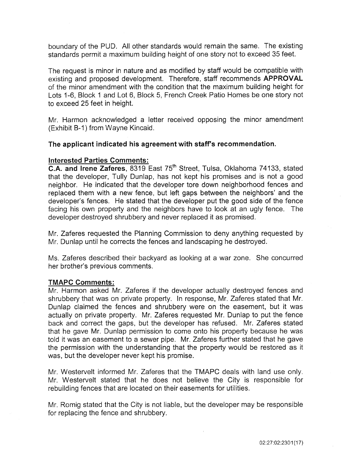boundary of the PUD. All other standards would remain the same. The existing standards permit a maximum building height of one story not to exceed 35 feet.

The request is minor in nature and as modified by staff would be compatible with existing and proposed development. Therefore, staff recommends APPROVAL of the minor amendment with the condition that the maximum building height for Lots 1-6, Block 1 and Lot 6, Block 5, French Creek Patio Homes be one story not to exceed 25 feet in height.

Mr. Harmon acknowledged a letter received opposing the minor amendment (Exhibit B-1) from Wayne Kincaid.

# The applicant indicated his agreement with staff's recommendation.

# Interested Parties Comments:

C.A. and Irene Zaferes, 8319 East 75<sup>th</sup> Street, Tulsa, Oklahoma 74133, stated that the developer, Tully Dunlap, has not kept his promises and is not a good neighbor. He indicated that the developer tore down neighborhood fences and replaced them with a new fence, but left gaps between the neighbors' and the developer's fences. He stated that the developer put the good side of the fence facing his own property and the neighbors have to look at an ugly fence. The developer destroyed shrubbery and never replaced it as promised.

Mr. Zaferes requested the Planning Commission to deny anything requested by Mr. Dunlap until he corrects the fences and landscaping he destroyed.

Ms. Zaferes described their backyard as looking at a war zone. She concurred her brother's previous comments.

# TMAPC Comments:

Mr. Harmon asked Mr. Zaferes if the developer actually destroyed fences and shrubbery that was on private property. In response, Mr. Zaferes stated that Mr. Dunlap claimed the fences and shrubbery were on the easement, but it was actually on private property. Mr. Zaferes requested Mr. Dunlap to put the fence back and correct the gaps, but the developer has refused. Mr. Zaferes stated that he gave Mr. Dunlap permission to come onto his property because he was told it was an easement to a sewer pipe. Mr. Zaferes further stated that he gave the permission with the understanding that the property would be restored as it was, but the developer never kept his promise.

Mr. Westervelt informed Mr. Zaferes that the TMAPC deals with land use only. Mr. Westervelt stated that he does not believe the City is responsible for rebuilding fences that are located on their easements for utilities.

Mr. Romig stated that the City is not liable, but the developer may be responsible for replacing the fence and shrubbery.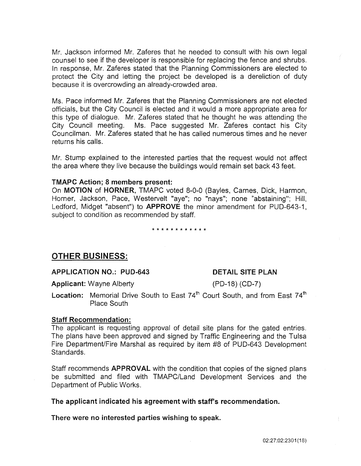Mr. Jackson informed Mr. Zaferes that he needed to consult with his own legal counsel to see if the developer is responsible for replacing the fence and shrubs. In response, Mr. Zaferes stated that the Planning Commissioners are elected to protect the City and letting the project be developed is a dereliction of duty because it is overcrowding an already-crowded area.

Ms. Pace informed Mr. Zaferes that the Planning Commissioners are not elected officials, but the City Council is elected and it would a more appropriate area for this type of dialogue. Mr. Zaferes stated that he thought he was attending the City Council meeting. Ms. Pace suggested Mr. Zaferes contact his City Councilman. Mr. Zaferes stated that he has called numerous times and he never returns his calls.

Mr. Stump explained to the interested parties that the request would not affect the area where they live because the buildings would remain set back 43 feet.

# TMAPC Action; 8 members present:

On MOTION of HORNER, TMAPC voted 8-0-0 (Bayles, Carnes, Dick, Harmon, Horner, Jackson, Pace, Westervelt "aye"; no "nays"; none "abstaining"; Hill, Ledford, Midget "absent") to APPROVE the minor amendment for PUD-643-1, subject to condition as recommended by staff.

\* \* \* \* \* \* \* \* \* \* \* \*

# OTHER BUSINESS:

APPLICATION NO.: PUD-643

# DETAIL SITE PLAN

(PD-18) (CD-7)

Applicant: Wayne Alberty

**Location:** Memorial Drive South to East  $74<sup>th</sup>$  Court South, and from East  $74<sup>th</sup>$ Place South

# Staff Recommendation:

The applicant is requesting approval of detail site plans for the gated entries. The plans have been approved and signed by Traffic Engineering and the Tulsa Fire Department/Fire Marshal as required by item #8 of PUD-643 Development Standards.

Staff recommends APPROVAL with the condition that copies of the signed plans be submitted and filed with TMAPC/Land Development Services and the Department of Public Works.

The applicant indicated his agreement with staff's recommendation.

There were no interested parties wishing to speak.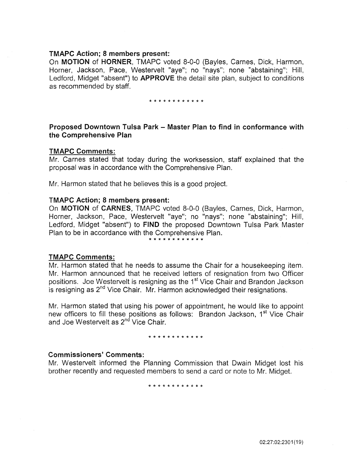# TMAPC Action; 8 members present:

On MOTION of HORNER, TMAPC voted 8-0-0 (Bayles, Carnes, Dick, Harmon, Horner, Jackson, Pace, Westervelt "aye"; no "nays"; none "abstaining"; Hill, Ledford, Midget "absent") to APPROVE the detail site plan, subject to conditions as recommended by staff.

# \* \* \* \* \* \* \* \* \* \* \* \*

# Proposed Downtown Tulsa Park - Master Plan to find in conformance with the Comprehensive Plan

# TMAPC Comments:

Mr. Carnes stated that today during the worksession, staff explained that the proposal was in accordance with the Comprehensive Plan.

Mr. Harmon stated that he believes this is a good project.

# TMAPC Action; 8 members present:

On MOTION of CARNES, TMAPC voted 8-0-0 (Bayles, Carnes, Dick, Harmon, Horner, Jackson, Pace, Westervelt "aye"; no "nays"; none "abstaining"; Hill, Ledford, Midget "absent") to FIND the proposed Downtown Tulsa Park Master Plan to be in accordance with the Comprehensive Plan.

\* \* \* \* \* \* \* \* \* \* \* \*

# TMAPC Comments:

Mr. Harmon stated that he needs to assume the Chair for a housekeeping item. Mr. Harmon announced that he received letters of resignation from two Officer positions. Joe Westervelt is resigning as the 1<sup>st</sup> Vice Chair and Brandon Jackson is resigning as  $2<sup>nd</sup>$  Vice Chair. Mr. Harmon acknowledged their resignations.

Mr. Harmon stated that using his power of appointment, he would like to appoint new officers to fill these positions as follows: Brandon Jackson, 1<sup>st</sup> Vice Chair and Joe Westervelt as 2<sup>nd</sup> Vice Chair.

# \* \* \* \* \* \* \* \* \* \* \*

# Commissioners' Comments:

Mr. Westervelt informed the Planning Commission that Dwain Midget lost his brother recently and requested members to send a card or note to Mr. Midget.

\* \* \* \* \* \* \* \* \* \* \* \*